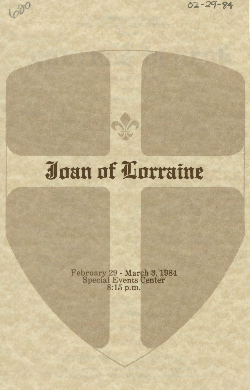$62 - 29 - 84$ 

## Joan of Lorraine

1000

February 29 - March 3, 1984<br>Special Events Center<br>8:15 p.m.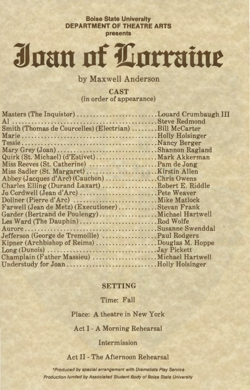**Boise State University DEPARTMENT OF THEATRE ARTS presents** 

# Joan of Lorraine

by Maxwell Anderson

CAST (in order of appearance)

| Masters (The Inquistor) Louard Crumbaugh III           |  |
|--------------------------------------------------------|--|
|                                                        |  |
| Smith (Thomas de Courcelles) (Electrian) Bill McCarter |  |
|                                                        |  |
|                                                        |  |
| Mary Grey (Joan) Shannon Ragland                       |  |
| Quirk (St. Michael) (d'Estivet) Mark Akkerman          |  |
| Miss Reeves (St. Catherine) Pam de Jong                |  |
| Miss Sadler (St. Margaret)Kirstin Allen                |  |
| Abbey (Jacques d'Arc) (Cauchon) Chris Owens            |  |
| Charles Elling (Durand Laxart) Robert E. Riddle        |  |
|                                                        |  |
|                                                        |  |
| Farwell (Jean de Metz) (Executioner) Stevan Frank      |  |
| Garder (Bertrand de Poulengy)Michael Hartwell          |  |
| Les Ward (The Dauphin)Rod Wolfe                        |  |
|                                                        |  |
| Jefferson (George de Tremoille) Paul Rodgers           |  |
| Kipner (Archbishop of Reims) Douglas M. Hoppe          |  |
| Long (Dunois) Jay Pickett                              |  |
| Champlain (Father Massieu)  Michael Hartwell           |  |
|                                                        |  |
|                                                        |  |

#### SETTING

Time: Fall

Place: A theatre in New York

Act I - A Morning Rehearsal

#### Intermission

Act II - The Afternoon Rehearsal

\*Produced by special arrangement with Dramatists Play Service Production funded by Associated Student Body of Boise State University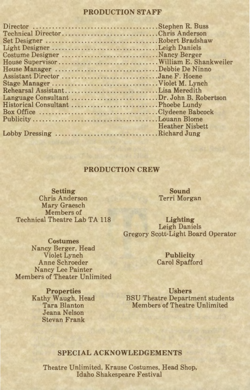#### PRODUCTION STAFF

| Technical DirectorChris Anderson          |                        |
|-------------------------------------------|------------------------|
|                                           |                        |
| Light DesignerLeigh Daniels               |                        |
|                                           |                        |
|                                           |                        |
| House Manager Debbie De Ninno             |                        |
| Assistant Director Jane F. Hoene          |                        |
|                                           |                        |
| Rehearsal AssistantLisa Meredith          |                        |
| Language Consultant Dr. John B. Robertson |                        |
|                                           |                        |
| Box Office Clydeene Babcock               |                        |
|                                           |                        |
|                                           | <b>Heather Nisbett</b> |
| Lobby Dressing Richard Jung               |                        |
|                                           |                        |

#### PRODUCTION CREW

Setting Chris Anderson Mary Graesch Members of Technical Theatre Lab TA 118

Sound Terri Morgan

Lighting Leigh Daniels Gregory Scott-Light Board Operator

**Costumes** Nancy Berger, Head Violet Lynch Anne Schroeder Nancy Lee Painter Members of Theater Unlimited

Publicity Carol Spafford

Properties Kathy Waugh, Head Tara Blanton Jeana Nelson Stevan Frank

Ushers BSU Theatre Department students Members of Theatre Unlimited

#### SPECIAL ACKNOWLEDGEMENTS

Theatre Unlimited, Krause Costumes, Head Shop, Idaho Shakespeare Festival